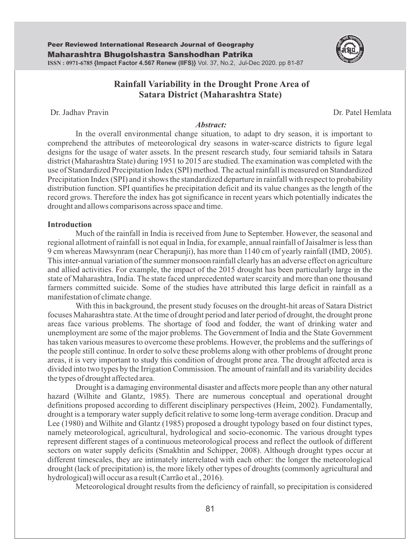

# **Rainfall Variability in the Drought Prone Area of Satara District (Maharashtra State)**

Dr. Jadhav Pravin Dr. Patel Hemlata

#### *Abstract:*

In the overall environmental change situation, to adapt to dry season, it is important to comprehend the attributes of meteorological dry seasons in water-scarce districts to figure legal designs for the usage of water assets. In the present research study, four semiarid tahsils in Satara district (Maharashtra State) during 1951 to 2015 are studied. The examination was completed with the use of Standardized Precipitation Index (SPI) method. The actual rainfall is measured on Standardized Precipitation Index (SPI) and it shows the standardized departure in rainfall with respect to probability distribution function. SPI quantifies he precipitation deficit and its value changes as the length of the record grows. Therefore the index has got significance in recent years which potentially indicates the drought and allows comparisons across space and time.

#### **Introduction**

Much of the rainfall in India is received from June to September. However, the seasonal and regional allotment of rainfall is not equal in India, for example, annual rainfall of Jaisalmer is less than 9 cm whereas Mawsynram (near Cherapunji), has more than 1140 cm of yearly rainfall (IMD, 2005). This inter-annual variation of the summer monsoon rainfall clearly has an adverse effect on agriculture and allied activities. For example, the impact of the 2015 drought has been particularly large in the state of Maharashtra, India. The state faced unprecedented water scarcity and more than one thousand farmers committed suicide. Some of the studies have attributed this large deficit in rainfall as a manifestation of climate change.

With this in background, the present study focuses on the drought-hit areas of Satara District focuses Maharashtra state. At the time of drought period and later period of drought, the drought prone areas face various problems. The shortage of food and fodder, the want of drinking water and unemployment are some of the major problems. The Government of India and the State Government has taken various measures to overcome these problems. However, the problems and the sufferings of the people still continue. In order to solve these problems along with other problems of drought prone areas, it is very important to study this condition of drought prone area. The drought affected area is divided into two types by the Irrigation Commission. The amount of rainfall and its variability decides the types of drought affected area.

Drought is a damaging environmental disaster and affects more people than any other natural hazard (Wilhite and Glantz, 1985). There are numerous conceptual and operational drought definitions proposed according to different disciplinary perspectives (Heim, 2002). Fundamentally, drought is a temporary water supply deficit relative to some long-term average condition. Dracup and Lee (1980) and Wilhite and Glantz (1985) proposed a drought typology based on four distinct types, namely meteorological, agricultural, hydrological and socio-economic. The various drought types represent different stages of a continuous meteorological process and reflect the outlook of different sectors on water supply deficits (Smakhtin and Schipper, 2008). Although drought types occur at different timescales, they are intimately interrelated with each other: the longer the meteorological drought (lack of precipitation) is, the more likely other types of droughts (commonly agricultural and hydrological) will occur as a result (Carrão et al., 2016).

Meteorological drought results from the deficiency of rainfall, so precipitation is considered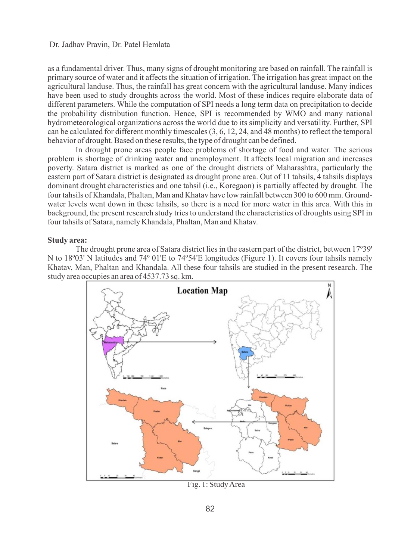as a fundamental driver. Thus, many signs of drought monitoring are based on rainfall. The rainfall is primary source of water and it affects the situation of irrigation. The irrigation has great impact on the agricultural landuse. Thus, the rainfall has great concern with the agricultural landuse. Many indices have been used to study droughts across the world. Most of these indices require elaborate data of different parameters. While the computation of SPI needs a long term data on precipitation to decide the probability distribution function. Hence, SPI is recommended by WMO and many national hydrometeorological organizations across the world due to its simplicity and versatility. Further, SPI can be calculated for different monthly timescales (3, 6, 12, 24, and 48 months) to reflect the temporal behavior of drought. Based on these results, the type of drought can be defined.

In drought prone areas people face problems of shortage of food and water. The serious problem is shortage of drinking water and unemployment. It affects local migration and increases poverty. Satara district is marked as one of the drought districts of Maharashtra, particularly the eastern part of Satara district is designated as drought prone area. Out of 11 tahsils, 4 tahsils displays dominant drought characteristics and one tahsil (i.e., Koregaon) is partially affected by drought. The four tahsils of Khandala, Phaltan, Man and Khatav have low rainfall between 300 to 600 mm. Groundwater levels went down in these tahsils, so there is a need for more water in this area. With this in background, the present research study tries to understand the characteristics of droughts using SPI in four tahsils of Satara, namely Khandala, Phaltan, Man and Khatav.

# **Study area:**

The drought prone area of Satara district lies in the eastern part of the district, between 17º39' N to 18º03' N latitudes and 74º 01'E to 74º54'E longitudes (Figure 1). It covers four tahsils namely Khatav, Man, Phaltan and Khandala. All these four tahsils are studied in the present research. The study area occupies an area of 4537.73 sq. km.



Fig. 1: Study Area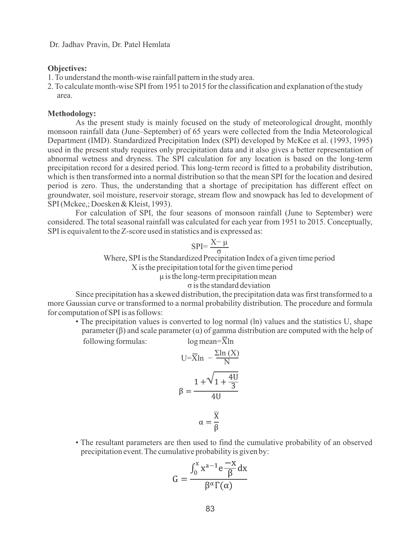### **Objectives:**

1. To understand the month-wise rainfall pattern in the study area.

2. To calculate month-wise SPI from 1951 to 2015 for the classification and explanation of the study area.

# **Methodology:**

As the present study is mainly focused on the study of meteorological drought, monthly monsoon rainfall data (June–September) of 65 years were collected from the India Meteorological Department (IMD). Standardized Precipitation Index (SPI) developed by McKee et al. (1993, 1995) used in the present study requires only precipitation data and it also gives a better representation of abnormal wetness and dryness. The SPI calculation for any location is based on the long-term precipitation record for a desired period. This long-term record is fitted to a probability distribution, which is then transformed into a normal distribution so that the mean SPI for the location and desired period is zero. Thus, the understanding that a shortage of precipitation has different effect on groundwater, soil moisture, reservoir storage, stream flow and snowpack has led to development of SPI (Mckee,; Doesken & Kleist, 1993).

For calculation of SPI, the four seasons of monsoon rainfall (June to September) were considered. The total seasonal rainfall was calculated for each year from 1951 to 2015. Conceptually, SPI is equivalent to the Z-score used in statistics and is expressed as:

$$
SPI = \frac{X - \mu}{\sigma}
$$

Where, SPI is the Standardized Precipitation Index of a given time period X is the precipitation total for the given time period μ is the long-term precipitation mean σ is the standard deviation

Since precipitation has a skewed distribution, the precipitation data was first transformed to a more Gaussian curve or transformed to a normal probability distribution. The procedure and formula for computation of SPI is as follows:

• The precipitation values is converted to log normal (ln) values and the statistics U, shape parameter  $(\beta)$  and scale parameter  $(\alpha)$  of gamma distribution are computed with the help of following formulas:  $log mean = \bar{X} ln$ 

$$
U = \overline{X} \ln \frac{\Sigma \ln (X)}{N}
$$

$$
\beta = \frac{1 + \sqrt{1 + \frac{4U}{3}}}{4U}
$$

$$
\alpha = \frac{\overline{X}}{B}
$$

• The resultant parameters are then used to find the cumulative probability of an observed precipitation event. The cumulative probability is given by:

$$
G = \frac{\int_0^x x^{a-1} e^{-\frac{1}{\beta}} dx}{\beta^{\alpha} \Gamma(\alpha)}
$$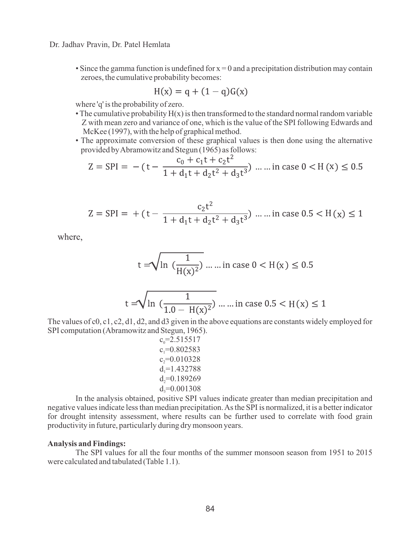• Since the gamma function is undefined for  $x = 0$  and a precipitation distribution may contain zeroes, the cumulative probability becomes:

$$
H(x) = q + (1 - q)G(x)
$$

where 'q' is the probability of zero.

- The cumulative probability  $H(x)$  is then transformed to the standard normal random variable Z with mean zero and variance of one, which is the value of the SPI following Edwards and McKee (1997), with the help of graphical method.
- The approximate conversion of these graphical values is then done using the alternative provided by Abramowitz and Stegun (1965) as follows:

$$
Z = SPI = -(t - \frac{c_0 + c_1 t + c_2 t^2}{1 + d_1 t + d_2 t^2 + d_3 t^3}) \dots \dots \text{ in case } 0 < H(x) \le 0.5
$$

$$
Z = SPI = + (t - \frac{c_2 t^2}{1 + d_1 t + d_2 t^2 + d_3 t^3}) \dots \dots \text{ in case } 0.5 < H(x) \le 1
$$

where,

$$
t = \sqrt{\ln(\frac{1}{H(x)^2})}
$$
 .... in case  $0 < H(x) \le 0.5$ 

$$
t = \sqrt{\ln\left(\frac{1}{1.0 - H(x)^2}\right)} \dots \dots \text{ in case } 0.5 < H(x) \le 1
$$

The values of c0, c1, c2, d1, d2, and d3 given in the above equations are constants widely employed for SPI computation (Abramowitz and Stegun, 1965).

$$
\begin{array}{l} \mathrm{c}_0\text{=}2.515517\\ \mathrm{c}_1\text{=}0.802583\\ \mathrm{c}_2\text{=}0.010328\\ \mathrm{d}_1\text{=}1.432788\\ \mathrm{d}_2\text{=}0.189269\\ \mathrm{d}_3\text{=}0.001308 \end{array}
$$

In the analysis obtained, positive SPI values indicate greater than median precipitation and negative values indicate less than median precipitation. As the SPI is normalized, it is a better indicator for drought intensity assessment, where results can be further used to correlate with food grain productivity in future, particularly during dry monsoon years.

### **Analysis and Findings:**

The SPI values for all the four months of the summer monsoon season from 1951 to 2015 were calculated and tabulated (Table 1.1).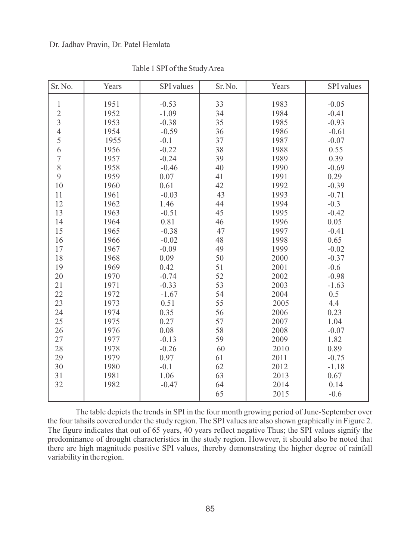| Sr. No.                  | Years | <b>SPI</b> values | Sr. No. | Years | SPI values |
|--------------------------|-------|-------------------|---------|-------|------------|
| $\,1$                    | 1951  | $-0.53$           | 33      | 1983  | $-0.05$    |
| $\overline{2}$           | 1952  | $-1.09$           | 34      | 1984  | $-0.41$    |
| $\overline{3}$           | 1953  | $-0.38$           | 35      | 1985  | $-0.93$    |
| $\overline{4}$           | 1954  | $-0.59$           | 36      | 1986  | $-0.61$    |
| 5                        | 1955  | $-0.1$            | 37      | 1987  | $-0.07$    |
| 6                        | 1956  | $-0.22$           | 38      | 1988  | 0.55       |
| $\overline{\mathcal{I}}$ | 1957  | $-0.24$           | 39      | 1989  | 0.39       |
| 8                        | 1958  | $-0.46$           | 40      | 1990  | $-0.69$    |
| 9                        | 1959  | 0.07              | 41      | 1991  | 0.29       |
| 10                       | 1960  | 0.61              | 42      | 1992  | $-0.39$    |
| 11                       | 1961  | $-0.03$           | 43      | 1993  | $-0.71$    |
| 12                       | 1962  | 1.46              | 44      | 1994  | $-0.3$     |
| 13                       | 1963  | $-0.51$           | 45      | 1995  | $-0.42$    |
| 14                       | 1964  | 0.81              | 46      | 1996  | 0.05       |
| 15                       | 1965  | $-0.38$           | 47      | 1997  | $-0.41$    |
| 16                       | 1966  | $-0.02$           | 48      | 1998  | 0.65       |
| 17                       | 1967  | $-0.09$           | 49      | 1999  | $-0.02$    |
| 18                       | 1968  | 0.09              | 50      | 2000  | $-0.37$    |
| 19                       | 1969  | 0.42              | 51      | 2001  | $-0.6$     |
| 20                       | 1970  | $-0.74$           | 52      | 2002  | $-0.98$    |
| 21                       | 1971  | $-0.33$           | 53      | 2003  | $-1.63$    |
| 22                       | 1972  | $-1.67$           | 54      | 2004  | 0.5        |
| 23                       | 1973  | 0.51              | 55      | 2005  | 4.4        |
| 24                       | 1974  | 0.35              | 56      | 2006  | 0.23       |
| 25                       | 1975  | 0.27              | 57      | 2007  | 1.04       |
| 26                       | 1976  | 0.08              | 58      | 2008  | $-0.07$    |
| 27                       | 1977  | $-0.13$           | 59      | 2009  | 1.82       |
| 28                       | 1978  | $-0.26$           | 60      | 2010  | 0.89       |
| 29                       | 1979  | 0.97              | 61      | 2011  | $-0.75$    |
| 30                       | 1980  | $-0.1$            | 62      | 2012  | $-1.18$    |
| 31                       | 1981  | 1.06              | 63      | 2013  | 0.67       |
| 32                       | 1982  | $-0.47$           | 64      | 2014  | 0.14       |
|                          |       |                   | 65      | 2015  | $-0.6$     |

Table 1 SPI of the Study Area

The table depicts the trends in SPI in the four month growing period of June-September over the four tahsils covered under the study region. The SPI values are also shown graphically in Figure 2. The figure indicates that out of 65 years, 40 years reflect negative Thus; the SPI values signify the predominance of drought characteristics in the study region. However, it should also be noted that there are high magnitude positive SPI values, thereby demonstrating the higher degree of rainfall variability in the region.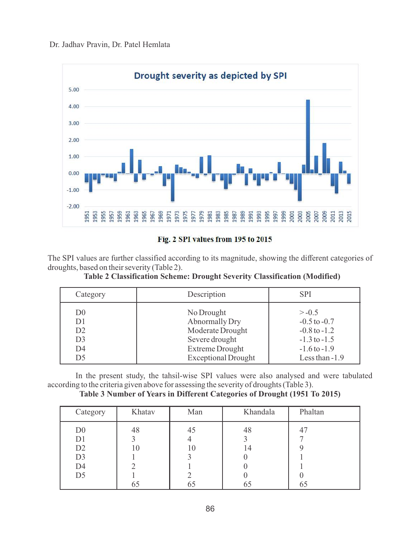

Fig. 2 SPI values from 195 to 2015

The SPI values are further classified according to its magnitude, showing the different categories of droughts, based on their severity (Table 2).

| Category       | Description                | <b>SPI</b>       |
|----------------|----------------------------|------------------|
| D <sub>0</sub> | No Drought                 | $> -0.5$         |
| D <sub>1</sub> | Abnormally Dry             | $-0.5$ to $-0.7$ |
| D2             | Moderate Drought           | $-0.8$ to $-1.2$ |
| D <sub>3</sub> | Severe drought             | $-1.3$ to $-1.5$ |
| D <sub>4</sub> | <b>Extreme Drought</b>     | $-1.6$ to $-1.9$ |
| D5             | <b>Exceptional Drought</b> | Less than $-1.9$ |

**Table 2 Classification Scheme: Drought Severity Classification (Modified)** 

In the present study, the tahsil-wise SPI values were also analysed and were tabulated according to the criteria given above for assessing the severity of droughts (Table 3).

**Table 3 Number of Years in Different Categories of Drought (1951 To 2015)** 

| Category       | Khatav | Man | Khandala | Phaltan |
|----------------|--------|-----|----------|---------|
| D <sub>0</sub> | 48     | 45  | 48       |         |
| D1             |        |     |          |         |
| D <sub>2</sub> |        | 10  | 14       |         |
| D <sub>3</sub> |        |     |          |         |
| D4             |        |     |          |         |
| D <sub>5</sub> |        |     |          |         |
|                |        |     | ნა       |         |